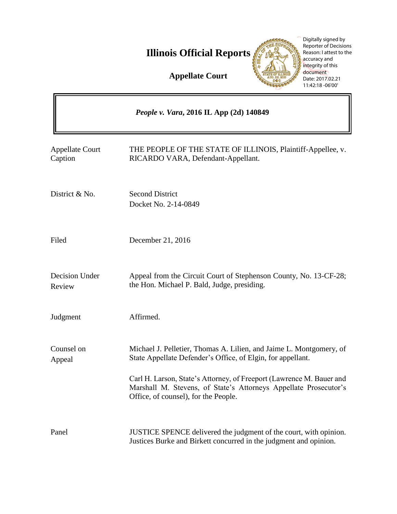**Illinois Official Reports** 

**Appellate Court**



- Docket No. 2-14-0849
- Filed December 21, 2016
- Decision Under Review Appeal from the Circuit Court of Stephenson County, No. 13-CF-28; the Hon. Michael P. Bald, Judge, presiding.
- Judgment Affirmed.

Appellate Court

Caption

Counsel on Appeal Michael J. Pelletier, Thomas A. Lilien, and Jaime L. Montgomery, of State Appellate Defender's Office, of Elgin, for appellant.

> Carl H. Larson, State's Attorney, of Freeport (Lawrence M. Bauer and Marshall M. Stevens, of State's Attorneys Appellate Prosecutor's Office, of counsel), for the People.

Panel JUSTICE SPENCE delivered the judgment of the court, with opinion. Justices Burke and Birkett concurred in the judgment and opinion.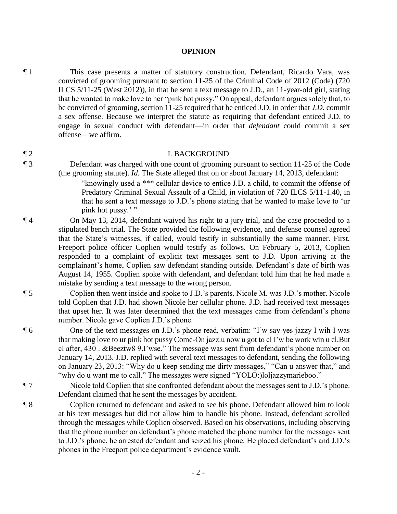### **OPINION**

¶ 1 This case presents a matter of statutory construction. Defendant, Ricardo Vara, was convicted of grooming pursuant to section 11-25 of the Criminal Code of 2012 (Code) (720 ILCS 5/11-25 (West 2012)), in that he sent a text message to J.D., an 11-year-old girl, stating that he wanted to make love to her "pink hot pussy." On appeal, defendant argues solely that, to be convicted of grooming, section 11-25 required that he enticed J.D. in order that *J.D.* commit a sex offense. Because we interpret the statute as requiring that defendant enticed J.D. to engage in sexual conduct with defendant—in order that *defendant* could commit a sex offense—we affirm.

# ¶ 2 I. BACKGROUND

- ¶ 3 Defendant was charged with one count of grooming pursuant to section 11-25 of the Code (the grooming statute). *Id.* The State alleged that on or about January 14, 2013, defendant:
	- "knowingly used a \*\*\* cellular device to entice J.D. a child, to commit the offense of Predatory Criminal Sexual Assault of a Child, in violation of 720 ILCS 5/11-1.40, in that he sent a text message to J.D.'s phone stating that he wanted to make love to 'ur pink hot pussy.'"
- ¶ 4 On May 13, 2014, defendant waived his right to a jury trial, and the case proceeded to a stipulated bench trial. The State provided the following evidence, and defense counsel agreed that the State's witnesses, if called, would testify in substantially the same manner. First, Freeport police officer Coplien would testify as follows. On February 5, 2013, Coplien responded to a complaint of explicit text messages sent to J.D. Upon arriving at the complainant's home, Coplien saw defendant standing outside. Defendant's date of birth was August 14, 1955. Coplien spoke with defendant, and defendant told him that he had made a mistake by sending a text message to the wrong person.

¶ 5 Coplien then went inside and spoke to J.D.'s parents. Nicole M. was J.D.'s mother. Nicole told Coplien that J.D. had shown Nicole her cellular phone. J.D. had received text messages that upset her. It was later determined that the text messages came from defendant's phone number. Nicole gave Coplien J.D.'s phone.

¶ 6 One of the text messages on J.D.'s phone read, verbatim: "I'w say yes jazzy I wih I was thar making love to ur pink hot pussy Come-On jazz.u now u got to cl I'w be work win u cl.But cl after, 430 . &Beeztw8 9.I'wse." The message was sent from defendant's phone number on January 14, 2013. J.D. replied with several text messages to defendant, sending the following on January 23, 2013: "Why do u keep sending me dirty messages," "Can u answer that," and "why do u want me to call." The messages were signed "YOLO:)loljazzymarieboo."

- ¶ 7 Nicole told Coplien that she confronted defendant about the messages sent to J.D.'s phone. Defendant claimed that he sent the messages by accident.
- ¶ 8 Coplien returned to defendant and asked to see his phone. Defendant allowed him to look at his text messages but did not allow him to handle his phone. Instead, defendant scrolled through the messages while Coplien observed. Based on his observations, including observing that the phone number on defendant's phone matched the phone number for the messages sent to J.D.'s phone, he arrested defendant and seized his phone. He placed defendant's and J.D.'s phones in the Freeport police department's evidence vault.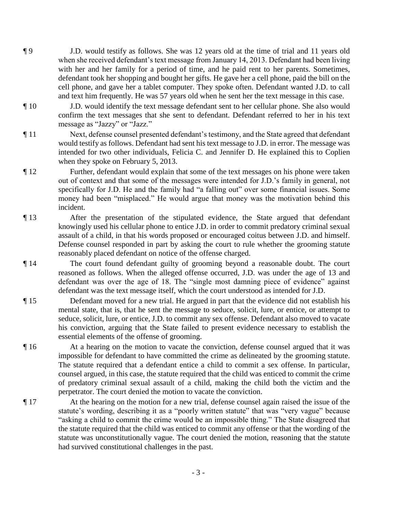- ¶ 9 J.D. would testify as follows. She was 12 years old at the time of trial and 11 years old when she received defendant's text message from January 14, 2013. Defendant had been living with her and her family for a period of time, and he paid rent to her parents. Sometimes, defendant took her shopping and bought her gifts. He gave her a cell phone, paid the bill on the cell phone, and gave her a tablet computer. They spoke often. Defendant wanted J.D. to call and text him frequently. He was 57 years old when he sent her the text message in this case.
- ¶ 10 J.D. would identify the text message defendant sent to her cellular phone. She also would confirm the text messages that she sent to defendant. Defendant referred to her in his text message as "Jazzy" or "Jazz."
- ¶ 11 Next, defense counsel presented defendant's testimony, and the State agreed that defendant would testify as follows. Defendant had sent his text message to J.D. in error. The message was intended for two other individuals, Felicia C. and Jennifer D. He explained this to Coplien when they spoke on February 5, 2013.
- ¶ 12 Further, defendant would explain that some of the text messages on his phone were taken out of context and that some of the messages were intended for J.D.'s family in general, not specifically for J.D. He and the family had "a falling out" over some financial issues. Some money had been "misplaced." He would argue that money was the motivation behind this incident.
- ¶ 13 After the presentation of the stipulated evidence, the State argued that defendant knowingly used his cellular phone to entice J.D. in order to commit predatory criminal sexual assault of a child, in that his words proposed or encouraged coitus between J.D. and himself. Defense counsel responded in part by asking the court to rule whether the grooming statute reasonably placed defendant on notice of the offense charged.
- ¶ 14 The court found defendant guilty of grooming beyond a reasonable doubt. The court reasoned as follows. When the alleged offense occurred, J.D. was under the age of 13 and defendant was over the age of 18. The "single most damning piece of evidence" against defendant was the text message itself, which the court understood as intended for J.D.
- ¶ 15 Defendant moved for a new trial. He argued in part that the evidence did not establish his mental state, that is, that he sent the message to seduce, solicit, lure, or entice, or attempt to seduce, solicit, lure, or entice, J.D. to commit any sex offense. Defendant also moved to vacate his conviction, arguing that the State failed to present evidence necessary to establish the essential elements of the offense of grooming.
- ¶ 16 At a hearing on the motion to vacate the conviction, defense counsel argued that it was impossible for defendant to have committed the crime as delineated by the grooming statute. The statute required that a defendant entice a child to commit a sex offense. In particular, counsel argued, in this case, the statute required that the child was enticed to commit the crime of predatory criminal sexual assault of a child, making the child both the victim and the perpetrator. The court denied the motion to vacate the conviction.
- ¶ 17 At the hearing on the motion for a new trial, defense counsel again raised the issue of the statute's wording, describing it as a "poorly written statute" that was "very vague" because "asking a child to commit the crime would be an impossible thing." The State disagreed that the statute required that the child was enticed to commit any offense or that the wording of the statute was unconstitutionally vague. The court denied the motion, reasoning that the statute had survived constitutional challenges in the past.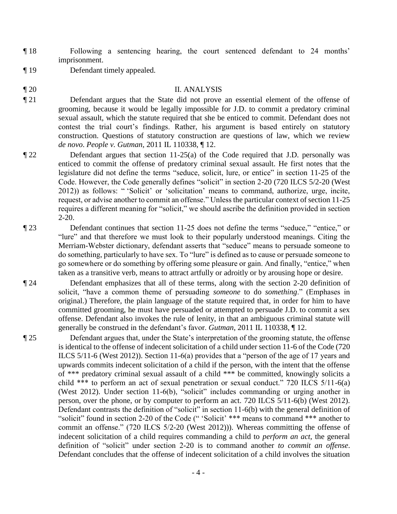- ¶ 18 Following a sentencing hearing, the court sentenced defendant to 24 months' imprisonment.
- ¶ 19 Defendant timely appealed.

# ¶ 20 II. ANALYSIS

- ¶ 21 Defendant argues that the State did not prove an essential element of the offense of grooming, because it would be legally impossible for J.D. to commit a predatory criminal sexual assault, which the statute required that she be enticed to commit. Defendant does not contest the trial court's findings. Rather, his argument is based entirely on statutory construction. Questions of statutory construction are questions of law, which we review *de novo*. *People v. Gutman*, 2011 IL 110338, ¶ 12.
- ¶ 22 Defendant argues that section 11-25(a) of the Code required that J.D. personally was enticed to commit the offense of predatory criminal sexual assault. He first notes that the legislature did not define the terms "seduce, solicit, lure, or entice" in section 11-25 of the Code. However, the Code generally defines "solicit" in section 2-20 (720 ILCS 5/2-20 (West 2012)) as follows: " 'Solicit' or 'solicitation' means to command, authorize, urge, incite, request, or advise another to commit an offense." Unless the particular context of section 11-25 requires a different meaning for "solicit," we should ascribe the definition provided in section 2-20.
- ¶ 23 Defendant continues that section 11-25 does not define the terms "seduce," "entice," or "lure" and that therefore we must look to their popularly understood meanings. Citing the Merriam-Webster dictionary, defendant asserts that "seduce" means to persuade someone to do something, particularly to have sex. To "lure" is defined as to cause or persuade someone to go somewhere or do something by offering some pleasure or gain. And finally, "entice," when taken as a transitive verb, means to attract artfully or adroitly or by arousing hope or desire.
- ¶ 24 Defendant emphasizes that all of these terms, along with the section 2-20 definition of solicit, "have a common theme of persuading *someone* to do *something*." (Emphases in original.) Therefore, the plain language of the statute required that, in order for him to have committed grooming, he must have persuaded or attempted to persuade J.D. to commit a sex offense. Defendant also invokes the rule of lenity, in that an ambiguous criminal statute will generally be construed in the defendant's favor. *Gutman*, 2011 IL 110338, ¶ 12.
- ¶ 25 Defendant argues that, under the State's interpretation of the grooming statute, the offense is identical to the offense of indecent solicitation of a child under section 11-6 of the Code (720 ILCS 5/11-6 (West 2012)). Section 11-6(a) provides that a "person of the age of 17 years and upwards commits indecent solicitation of a child if the person, with the intent that the offense of \*\*\* predatory criminal sexual assault of a child \*\*\* be committed, knowingly solicits a child \*\*\* to perform an act of sexual penetration or sexual conduct." 720 ILCS 5/11-6(a) (West 2012). Under section 11-6(b), "solicit" includes commanding or urging another in person, over the phone, or by computer to perform an act. 720 ILCS 5/11-6(b) (West 2012). Defendant contrasts the definition of "solicit" in section 11-6(b) with the general definition of "solicit" found in section 2-20 of the Code ("'Solicit' \*\*\* means to command \*\*\* another to commit an offense." (720 ILCS 5/2-20 (West 2012))). Whereas committing the offense of indecent solicitation of a child requires commanding a child to *perform an act*, the general definition of "solicit" under section 2-20 is to command another *to commit an offense*. Defendant concludes that the offense of indecent solicitation of a child involves the situation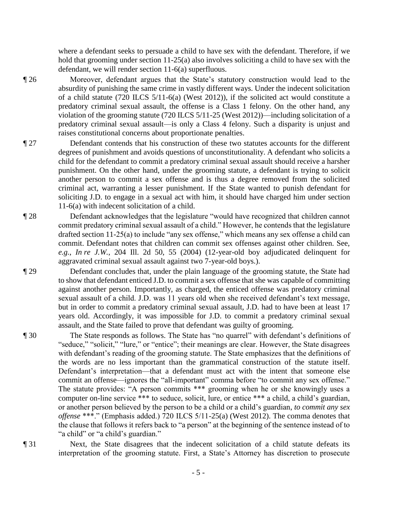where a defendant seeks to persuade a child to have sex with the defendant. Therefore, if we hold that grooming under section 11-25(a) also involves soliciting a child to have sex with the defendant, we will render section 11-6(a) superfluous.

¶ 26 Moreover, defendant argues that the State's statutory construction would lead to the absurdity of punishing the same crime in vastly different ways. Under the indecent solicitation of a child statute (720 ILCS 5/11-6(a) (West 2012)), if the solicited act would constitute a predatory criminal sexual assault, the offense is a Class 1 felony. On the other hand, any violation of the grooming statute (720 ILCS 5/11-25 (West 2012))—including solicitation of a predatory criminal sexual assault—is only a Class 4 felony. Such a disparity is unjust and raises constitutional concerns about proportionate penalties.

- ¶ 27 Defendant contends that his construction of these two statutes accounts for the different degrees of punishment and avoids questions of unconstitutionality. A defendant who solicits a child for the defendant to commit a predatory criminal sexual assault should receive a harsher punishment. On the other hand, under the grooming statute, a defendant is trying to solicit another person to commit a sex offense and is thus a degree removed from the solicited criminal act, warranting a lesser punishment. If the State wanted to punish defendant for soliciting J.D. to engage in a sexual act with him, it should have charged him under section 11-6(a) with indecent solicitation of a child.
- ¶ 28 Defendant acknowledges that the legislature "would have recognized that children cannot commit predatory criminal sexual assault of a child." However, he contends that the legislature drafted section 11-25(a) to include "any sex offense," which means any sex offense a child can commit. Defendant notes that children can commit sex offenses against other children. See, *e.g.*, *In re J.W.*, 204 Ill. 2d 50, 55 (2004) (12-year-old boy adjudicated delinquent for aggravated criminal sexual assault against two 7-year-old boys.).

¶ 29 Defendant concludes that, under the plain language of the grooming statute, the State had to show that defendant enticed J.D. to commit a sex offense that she was capable of committing against another person. Importantly, as charged, the enticed offense was predatory criminal sexual assault of a child. J.D. was 11 years old when she received defendant's text message, but in order to commit a predatory criminal sexual assault, J.D. had to have been at least 17 years old. Accordingly, it was impossible for J.D. to commit a predatory criminal sexual assault, and the State failed to prove that defendant was guilty of grooming.

- ¶ 30 The State responds as follows. The State has "no quarrel" with defendant's definitions of "seduce," "solicit," "lure," or "entice"; their meanings are clear. However, the State disagrees with defendant's reading of the grooming statute. The State emphasizes that the definitions of the words are no less important than the grammatical construction of the statute itself. Defendant's interpretation—that a defendant must act with the intent that someone else commit an offense—ignores the "all-important" comma before "to commit any sex offense." The statute provides: "A person commits \*\*\* grooming when he or she knowingly uses a computer on-line service \*\*\* to seduce, solicit, lure, or entice \*\*\* a child, a child's guardian, or another person believed by the person to be a child or a child's guardian, *to commit any sex offense* \*\*\*." (Emphasis added.) 720 ILCS 5/11-25(a) (West 2012). The comma denotes that the clause that follows it refers back to "a person" at the beginning of the sentence instead of to "a child" or "a child's guardian."
- 

¶ 31 Next, the State disagrees that the indecent solicitation of a child statute defeats its interpretation of the grooming statute. First, a State's Attorney has discretion to prosecute

- 5 -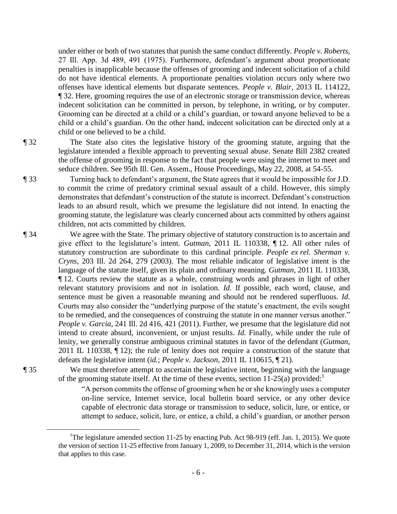under either or both of two statutes that punish the same conduct differently. *People v. Roberts*, 27 Ill. App. 3d 489, 491 (1975). Furthermore, defendant's argument about proportionate penalties is inapplicable because the offenses of grooming and indecent solicitation of a child do not have identical elements. A proportionate penalties violation occurs only where two offenses have identical elements but disparate sentences. *People v. Blair*, 2013 IL 114122, ¶ 32. Here, grooming requires the use of an electronic storage or transmission device, whereas indecent solicitation can be committed in person, by telephone, in writing, or by computer. Grooming can be directed at a child or a child's guardian, or toward anyone believed to be a child or a child's guardian. On the other hand, indecent solicitation can be directed only at a child or one believed to be a child.

¶ 32 The State also cites the legislative history of the grooming statute, arguing that the legislature intended a flexible approach to preventing sexual abuse. Senate Bill 2382 created the offense of grooming in response to the fact that people were using the internet to meet and seduce children. See 95th Ill. Gen. Assem., House Proceedings, May 22, 2008, at 54-55.

¶ 33 Turning back to defendant's argument, the State agrees that it would be impossible for J.D. to commit the crime of predatory criminal sexual assault of a child. However, this simply demonstrates that defendant's construction of the statute is incorrect. Defendant's construction leads to an absurd result, which we presume the legislature did not intend. In enacting the grooming statute, the legislature was clearly concerned about acts committed by others against children, not acts committed by children.

¶ 34 We agree with the State. The primary objective of statutory construction is to ascertain and give effect to the legislature's intent. *Gutman*, 2011 IL 110338, ¶ 12. All other rules of statutory construction are subordinate to this cardinal principle. *People ex rel. Sherman v. Cryns*, 203 Ill. 2d 264, 279 (2003). The most reliable indicator of legislative intent is the language of the statute itself, given its plain and ordinary meaning. *Gutman*, 2011 IL 110338, ¶ 12. Courts review the statute as a whole, construing words and phrases in light of other relevant statutory provisions and not in isolation. *Id.* If possible, each word, clause, and sentence must be given a reasonable meaning and should not be rendered superfluous. *Id.* Courts may also consider the "underlying purpose of the statute's enactment, the evils sought to be remedied, and the consequences of construing the statute in one manner versus another." *People v. Garcia*, 241 Ill. 2d 416, 421 (2011). Further, we presume that the legislature did not intend to create absurd, inconvenient, or unjust results. *Id.* Finally, while under the rule of lenity, we generally construe ambiguous criminal statutes in favor of the defendant (*Gutman*, 2011 IL 110338, ¶ 12); the rule of lenity does not require a construction of the statute that defeats the legislative intent (*id.*; *People v. Jackson*, 2011 IL 110615, ¶ 21).

 $\overline{a}$ 

¶ 35 We must therefore attempt to ascertain the legislative intent, beginning with the language of the grooming statute itself. At the time of these events, section 11-25(a) provided:<sup>1</sup>

> "A person commits the offense of grooming when he or she knowingly uses a computer on-line service, Internet service, local bulletin board service, or any other device capable of electronic data storage or transmission to seduce, solicit, lure, or entice, or attempt to seduce, solicit, lure, or entice, a child, a child's guardian, or another person

<sup>&</sup>lt;sup>1</sup>The legislature amended section 11-25 by enacting Pub. Act 98-919 (eff. Jan. 1, 2015). We quote the version of section 11-25 effective from January 1, 2009, to December 31, 2014, which is the version that applies to this case.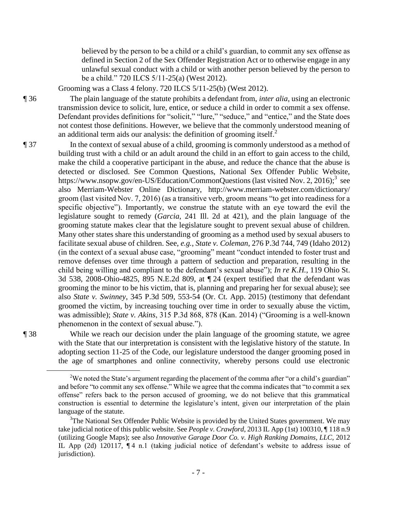believed by the person to be a child or a child's guardian, to commit any sex offense as defined in Section 2 of the Sex Offender Registration Act or to otherwise engage in any unlawful sexual conduct with a child or with another person believed by the person to be a child." 720 ILCS 5/11-25(a) (West 2012).

Grooming was a Class 4 felony. 720 ILCS 5/11-25(b) (West 2012).

¶ 36 The plain language of the statute prohibits a defendant from, *inter alia*, using an electronic transmission device to solicit, lure, entice, or seduce a child in order to commit a sex offense. Defendant provides definitions for "solicit," "lure," "seduce," and "entice," and the State does not contest those definitions. However, we believe that the commonly understood meaning of an additional term aids our analysis: the definition of grooming itself.<sup>2</sup>

¶ 37 In the context of sexual abuse of a child, grooming is commonly understood as a method of building trust with a child or an adult around the child in an effort to gain access to the child, make the child a cooperative participant in the abuse, and reduce the chance that the abuse is detected or disclosed. See Common Questions, National Sex Offender Public Website, https://www.nsopw.gov/en-US/Education/CommonQuestions (last visited Nov. 2, 2016);<sup>3</sup> see also Merriam-Webster Online Dictionary, http://www.merriam-webster.com/dictionary/ groom (last visited Nov. 7, 2016) (as a transitive verb, groom means "to get into readiness for a specific objective"). Importantly, we construe the statute with an eye toward the evil the legislature sought to remedy (*Garcia*, 241 Ill. 2d at 421), and the plain language of the grooming statute makes clear that the legislature sought to prevent sexual abuse of children. Many other states share this understanding of grooming as a method used by sexual abusers to facilitate sexual abuse of children. See, *e.g.*, *State v. Coleman*, 276 P.3d 744, 749 (Idaho 2012) (in the context of a sexual abuse case, "grooming" meant "conduct intended to foster trust and remove defenses over time through a pattern of seduction and preparation, resulting in the child being willing and compliant to the defendant's sexual abuse"); *In re K.H.*, 119 Ohio St. 3d 538, 2008-Ohio-4825, 895 N.E.2d 809, at ¶ 24 (expert testified that the defendant was grooming the minor to be his victim, that is, planning and preparing her for sexual abuse); see also *State v. Swinney*, 345 P.3d 509, 553-54 (Or. Ct. App. 2015) (testimony that defendant groomed the victim, by increasing touching over time in order to sexually abuse the victim, was admissible); *State v. Akins*, 315 P.3d 868, 878 (Kan. 2014) ("Grooming is a well-known phenomenon in the context of sexual abuse.").

 $\overline{a}$ 

¶ 38 While we reach our decision under the plain language of the grooming statute, we agree with the State that our interpretation is consistent with the legislative history of the statute. In adopting section 11-25 of the Code, our legislature understood the danger grooming posed in the age of smartphones and online connectivity, whereby persons could use electronic

<sup>&</sup>lt;sup>2</sup>We noted the State's argument regarding the placement of the comma after "or a child's guardian" and before "to commit any sex offense." While we agree that the comma indicates that "to commit a sex offense" refers back to the person accused of grooming, we do not believe that this grammatical construction is essential to determine the legislature's intent, given our interpretation of the plain language of the statute.

 $3$ The National Sex Offender Public Website is provided by the United States government. We may take judicial notice of this public website. See *People v. Crawford*, 2013 IL App (1st) 100310, ¶ 118 n.9 (utilizing Google Maps); see also *Innovative Garage Door Co. v. High Ranking Domains, LLC*, 2012 IL App (2d) 120117,  $\P$ 4 n.1 (taking judicial notice of defendant's website to address issue of jurisdiction).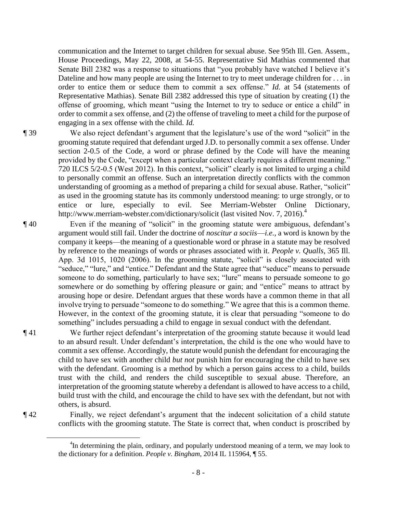communication and the Internet to target children for sexual abuse. See 95th Ill. Gen. Assem., House Proceedings, May 22, 2008, at 54-55. Representative Sid Mathias commented that Senate Bill 2382 was a response to situations that "you probably have watched I believe it's Dateline and how many people are using the Internet to try to meet underage children for . . . in order to entice them or seduce them to commit a sex offense." *Id.* at 54 (statements of Representative Mathias). Senate Bill 2382 addressed this type of situation by creating (1) the offense of grooming, which meant "using the Internet to try to seduce or entice a child" in order to commit a sex offense, and (2) the offense of traveling to meet a child for the purpose of engaging in a sex offense with the child. *Id.*

- ¶ 39 We also reject defendant's argument that the legislature's use of the word "solicit" in the grooming statute required that defendant urged J.D. to personally commit a sex offense. Under section 2-0.5 of the Code, a word or phrase defined by the Code will have the meaning provided by the Code, "except when a particular context clearly requires a different meaning." 720 ILCS 5/2-0.5 (West 2012). In this context, "solicit" clearly is not limited to urging a child to personally commit an offense. Such an interpretation directly conflicts with the common understanding of grooming as a method of preparing a child for sexual abuse. Rather, "solicit" as used in the grooming statute has its commonly understood meaning: to urge strongly, or to entice or lure, especially to evil. See Merriam-Webster Online Dictionary, http://www.merriam-webster.com/dictionary/solicit (last visited Nov. 7, 2016).<sup>4</sup>
- ¶ 40 Even if the meaning of "solicit" in the grooming statute were ambiguous, defendant's argument would still fail. Under the doctrine of *noscitur a sociis*—*i.e.*, a word is known by the company it keeps—the meaning of a questionable word or phrase in a statute may be resolved by reference to the meanings of words or phrases associated with it. *People v. Qualls*, 365 Ill. App. 3d 1015, 1020 (2006). In the grooming statute, "solicit" is closely associated with "seduce," "lure," and "entice." Defendant and the State agree that "seduce" means to persuade someone to do something, particularly to have sex; "lure" means to persuade someone to go somewhere or do something by offering pleasure or gain; and "entice" means to attract by arousing hope or desire. Defendant argues that these words have a common theme in that all involve trying to persuade "someone to do something." We agree that this is a common theme. However, in the context of the grooming statute, it is clear that persuading "someone to do something" includes persuading a child to engage in sexual conduct with the defendant.
- ¶ 41 We further reject defendant's interpretation of the grooming statute because it would lead to an absurd result. Under defendant's interpretation, the child is the one who would have to commit a sex offense. Accordingly, the statute would punish the defendant for encouraging the child to have sex with another child *but not* punish him for encouraging the child to have sex with the defendant. Grooming is a method by which a person gains access to a child, builds trust with the child, and renders the child susceptible to sexual abuse. Therefore, an interpretation of the grooming statute whereby a defendant is allowed to have access to a child, build trust with the child, and encourage the child to have sex with the defendant, but not with others, is absurd.

 $\overline{a}$ 

¶ 42 Finally, we reject defendant's argument that the indecent solicitation of a child statute conflicts with the grooming statute. The State is correct that, when conduct is proscribed by

<sup>&</sup>lt;sup>4</sup>In determining the plain, ordinary, and popularly understood meaning of a term, we may look to the dictionary for a definition. *People v. Bingham*, 2014 IL 115964, ¶ 55.